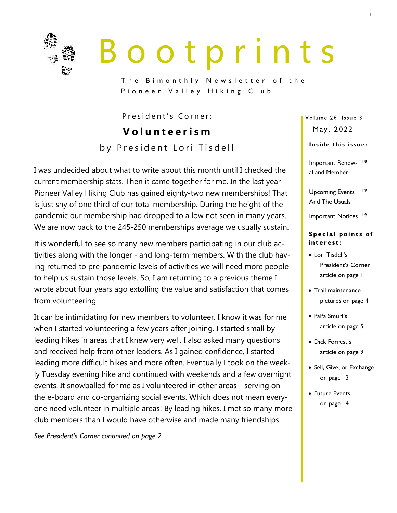

# B o o t p r i n t s

The Bimonthly Newsletter of the Pioneer Valley Hiking Club

President's Corner:

**V o l u n t e e r i s m** by President Lori Tisdell

I was undecided about what to write about this month until I checked the current membership stats. Then it came together for me. In the last year Pioneer Valley Hiking Club has gained eighty-two new memberships! That is just shy of one third of our total membership. During the height of the pandemic our membership had dropped to a low not seen in many years. We are now back to the 245-250 memberships average we usually sustain.

It is wonderful to see so many new members participating in our club activities along with the longer - and long-term members. With the club having returned to pre-pandemic levels of activities we will need more people to help us sustain those levels. So, I am returning to a previous theme I wrote about four years ago extolling the value and satisfaction that comes from volunteering.

It can be intimidating for new members to volunteer. I know it was for me when I started volunteering a few years after joining. I started small by leading hikes in areas that I knew very well. I also asked many questions and received help from other leaders. As I gained confidence, I started leading more difficult hikes and more often. Eventually I took on the weekly Tuesday evening hike and continued with weekends and a few overnight events. It snowballed for me as I volunteered in other areas – serving on the e-board and co-organizing social events. Which does not mean everyone need volunteer in multiple areas! By leading hikes, I met so many more club members than I would have otherwise and made many friendships.

*See President's Corner continued on page 2*

Volume 26, Issue 3 May, 2022

### Inside this issue:

- Important Renew-**18** al and Member-
- Upcoming Events And The Usuals **19**
- Important Notices **<sup>19</sup>**

### **Special points of i n t e re st:**

- Lori Tisdell's President's Corner article on page 1
- Trail maintenance pictures on page 4
- PaPa Smurf's article on page 5
- Dick Forrest's article on page 9
- Sell, Give, or Exchange on page 13
- Future Events on page 14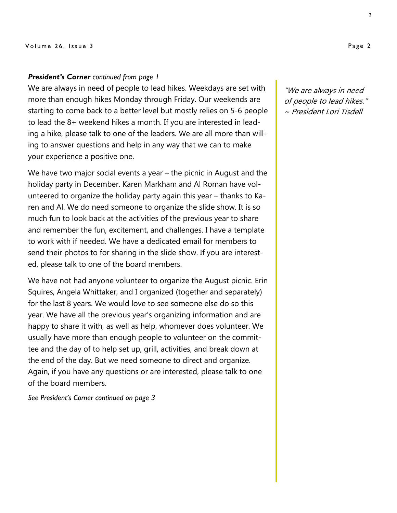### *President's Corner continued from page 1*

We are always in need of people to lead hikes. Weekdays are set with more than enough hikes Monday through Friday. Our weekends are starting to come back to a better level but mostly relies on 5-6 people to lead the 8+ weekend hikes a month. If you are interested in leading a hike, please talk to one of the leaders. We are all more than willing to answer questions and help in any way that we can to make your experience a positive one.

We have two major social events a year – the picnic in August and the holiday party in December. Karen Markham and Al Roman have volunteered to organize the holiday party again this year – thanks to Karen and Al. We do need someone to organize the slide show. It is so much fun to look back at the activities of the previous year to share and remember the fun, excitement, and challenges. I have a template to work with if needed. We have a dedicated email for members to send their photos to for sharing in the slide show. If you are interested, please talk to one of the board members.

We have not had anyone volunteer to organize the August picnic. Erin Squires, Angela Whittaker, and I organized (together and separately) for the last 8 years. We would love to see someone else do so this year. We have all the previous year's organizing information and are happy to share it with, as well as help, whomever does volunteer. We usually have more than enough people to volunteer on the committee and the day of to help set up, grill, activities, and break down at the end of the day. But we need someone to direct and organize. Again, if you have any questions or are interested, please talk to one of the board members.

*See President's Corner continued on page 3*

"We are always in need of people to lead hikes." ~ President Lori Tisdell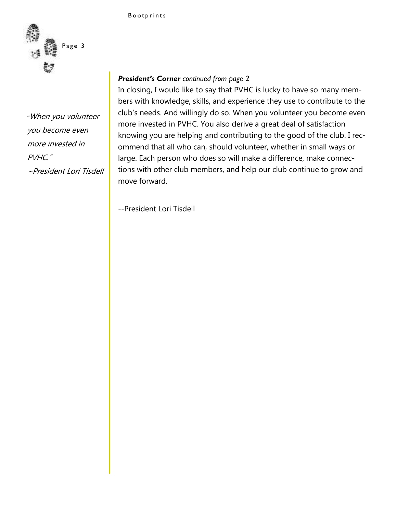

# *"*When you volunteer you become even more invested in PVHC." ~President Lori Tisdell

### *President's Corner continued from page 2*

In closing, I would like to say that PVHC is lucky to have so many members with knowledge, skills, and experience they use to contribute to the club's needs. And willingly do so. When you volunteer you become even more invested in PVHC. You also derive a great deal of satisfaction knowing you are helping and contributing to the good of the club. I recommend that all who can, should volunteer, whether in small ways or large. Each person who does so will make a difference, make connections with other club members, and help our club continue to grow and move forward.

--President Lori Tisdell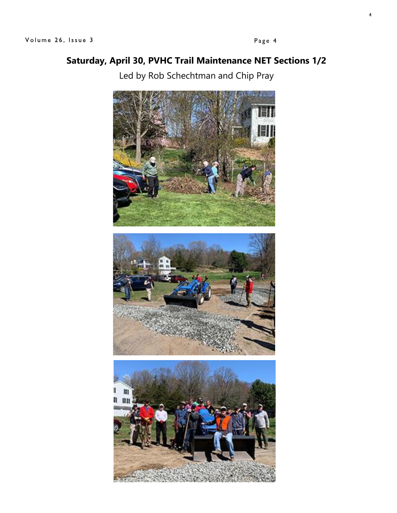# **Saturday, April 30, PVHC Trail Maintenance NET Sections 1/2**

Led by Rob Schechtman and Chip Pray

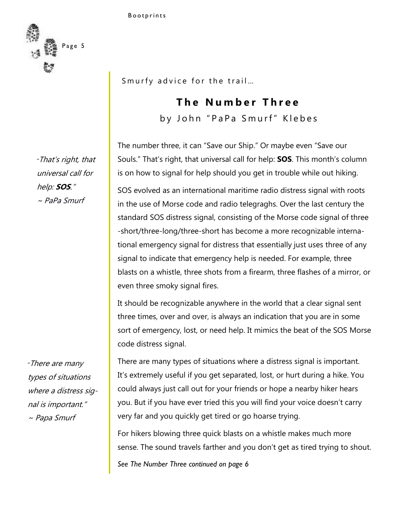

*"*That's right, that universal call for help: **SOS**." ~ PaPa Smurf

*"*There are many types of situations where a distress signal is important." ~ Papa Smurf

Smurfy advice for the trail...

# **The Number Three**

by John "PaPa Smurf" Klebes

The number three, it can "Save our Ship." Or maybe even "Save our Souls." That's right, that universal call for help: **SOS**. This month's column is on how to signal for help should you get in trouble while out hiking.

SOS evolved as an international maritime radio distress signal with roots in the use of Morse code and radio telegraghs. Over the last century the standard SOS distress signal, consisting of the Morse code signal of three -short/three-long/three-short has become a more recognizable international emergency signal for distress that essentially just uses three of any signal to indicate that emergency help is needed. For example, three blasts on a whistle, three shots from a firearm, three flashes of a mirror, or even three smoky signal fires.

It should be recognizable anywhere in the world that a clear signal sent three times, over and over, is always an indication that you are in some sort of emergency, lost, or need help. It mimics the beat of the SOS Morse code distress signal.

There are many types of situations where a distress signal is important. It's extremely useful if you get separated, lost, or hurt during a hike. You could always just call out for your friends or hope a nearby hiker hears you. But if you have ever tried this you will find your voice doesn't carry very far and you quickly get tired or go hoarse trying.

For hikers blowing three quick blasts on a whistle makes much more sense. The sound travels farther and you don't get as tired trying to shout.

*See The Number Three continued on page 6*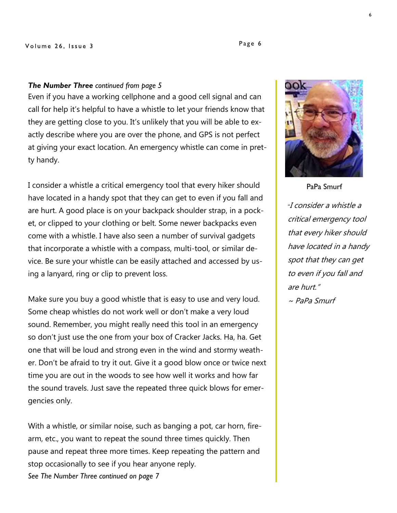### *The Number Three continued from page 5*

Even if you have a working cellphone and a good cell signal and can call for help it's helpful to have a whistle to let your friends know that they are getting close to you. It's unlikely that you will be able to exactly describe where you are over the phone, and GPS is not perfect at giving your exact location. An emergency whistle can come in pretty handy.

I consider a whistle a critical emergency tool that every hiker should have located in a handy spot that they can get to even if you fall and are hurt. A good place is on your backpack shoulder strap, in a pocket, or clipped to your clothing or belt. Some newer backpacks even come with a whistle. I have also seen a number of survival gadgets that incorporate a whistle with a compass, multi-tool, or similar device. Be sure your whistle can be easily attached and accessed by using a lanyard, ring or clip to prevent loss.

Make sure you buy a good whistle that is easy to use and very loud. Some cheap whistles do not work well or don't make a very loud sound. Remember, you might really need this tool in an emergency so don't just use the one from your box of Cracker Jacks. Ha, ha. Get one that will be loud and strong even in the wind and stormy weather. Don't be afraid to try it out. Give it a good blow once or twice next time you are out in the woods to see how well it works and how far the sound travels. Just save the repeated three quick blows for emergencies only.

With a whistle, or similar noise, such as banging a pot, car horn, firearm, etc., you want to repeat the sound three times quickly. Then pause and repeat three more times. Keep repeating the pattern and stop occasionally to see if you hear anyone reply. *See The Number Three continued on page 7*



*"*I consider a whistle a critical emergency tool that every hiker should have located in a handy spot that they can get to even if you fall and are hurt."

 $\sim$  PaPa Smurf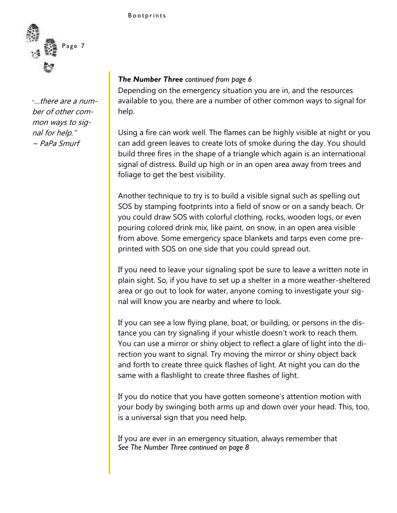

*"*…there are a number of other common ways to signal for help." ~ PaPa Smurf

### *The Number Three continued from page 6*

Depending on the emergency situation you are in, and the resources available to you, there are a number of other common ways to signal for help.

Using a fire can work well. The flames can be highly visible at night or you can add green leaves to create lots of smoke during the day. You should build three fires in the shape of a triangle which again is an international signal of distress. Build up high or in an open area away from trees and foliage to get the best visibility.

Another technique to try is to build a visible signal such as spelling out SOS by stamping footprints into a field of snow or on a sandy beach. Or you could draw SOS with colorful clothing, rocks, wooden logs, or even pouring colored drink mix, like paint, on snow, in an open area visible from above. Some emergency space blankets and tarps even come preprinted with SOS on one side that you could spread out.

If you need to leave your signaling spot be sure to leave a written note in plain sight. So, if you have to set up a shelter in a more weather-sheltered area or go out to look for water, anyone coming to investigate your signal will know you are nearby and where to look.

If you can see a low flying plane, boat, or building, or persons in the distance you can try signaling if your whistle doesn't work to reach them. You can use a mirror or shiny object to reflect a glare of light into the direction you want to signal. Try moving the mirror or shiny object back and forth to create three quick flashes of light. At night you can do the same with a flashlight to create three flashes of light.

If you do notice that you have gotten someone's attention motion with your body by swinging both arms up and down over your head. This, too, is a universal sign that you need help.

If you are ever in an emergency situation, always remember that *See The Number Three continued on page 8*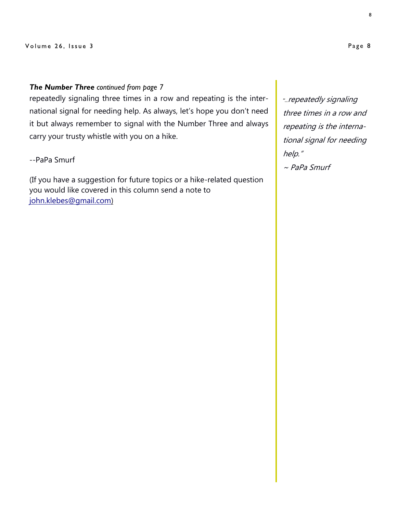### *The Number Three continued from page 7*

repeatedly signaling three times in a row and repeating is the international signal for needing help. As always, let's hope you don't need it but always remember to signal with the Number Three and always carry your trusty whistle with you on a hike.

### --PaPa Smurf

(If you have a suggestion for future topics or a hike-related question you would like covered in this column send a note to [john.klebes@gmail.com\)](mailto:john.klebes@gmail.com)

*"...*repeatedly signaling three times in a row and repeating is the international signal for needing help."

~ PaPa Smurf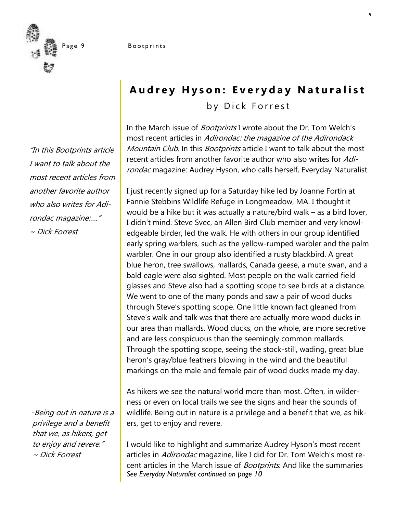

"In this Bootprints article I want to talk about the most recent articles from another favorite author who also writes for Adirondac magazine:…." ~ Dick Forrest

*"*Being out in nature is a privilege and a benefit that we, as hikers, get to enjoy and revere." ~ Dick Forrest

# **Audrey Hyson: Everyday Naturalist** by Dick Forrest

In the March issue of *Bootprints* I wrote about the Dr. Tom Welch's most recent articles in Adirondac: the magazine of the Adirondack Mountain Club. In this Bootprints article I want to talk about the most recent articles from another favorite author who also writes for Adirondac magazine: Audrey Hyson, who calls herself, Everyday Naturalist.

I just recently signed up for a Saturday hike led by Joanne Fortin at Fannie Stebbins Wildlife Refuge in Longmeadow, MA. I thought it would be a hike but it was actually a nature/bird walk – as a bird lover, I didn't mind. Steve Svec, an Allen Bird Club member and very knowledgeable birder, led the walk. He with others in our group identified early spring warblers, such as the yellow-rumped warbler and the palm warbler. One in our group also identified a rusty blackbird. A great blue heron, tree swallows, mallards, Canada geese, a mute swan, and a bald eagle were also sighted. Most people on the walk carried field glasses and Steve also had a spotting scope to see birds at a distance. We went to one of the many ponds and saw a pair of wood ducks through Steve's spotting scope. One little known fact gleaned from Steve's walk and talk was that there are actually more wood ducks in our area than mallards. Wood ducks, on the whole, are more secretive and are less conspicuous than the seemingly common mallards. Through the spotting scope, seeing the stock-still, wading, great blue heron's gray/blue feathers blowing in the wind and the beautiful markings on the male and female pair of wood ducks made my day.

As hikers we see the natural world more than most. Often, in wilderness or even on local trails we see the signs and hear the sounds of wildlife. Being out in nature is a privilege and a benefit that we, as hikers, get to enjoy and revere.

I would like to highlight and summarize Audrey Hyson's most recent articles in Adirondac magazine, like I did for Dr. Tom Welch's most recent articles in the March issue of *Bootprints*. And like the summaries *See Everyday Naturalist continued on page 10*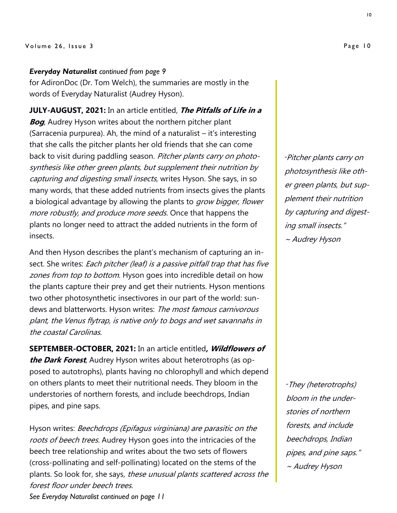### Volume 26, Issue 3

### *Everyday Naturalist continued from page 9*

for AdironDoc (Dr. Tom Welch), the summaries are mostly in the words of Everyday Naturalist (Audrey Hyson).

**JULY-AUGUST, 2021:** In an article entitled, **The Pitfalls of Life in a Bog**, Audrey Hyson writes about the northern pitcher plant (Sarracenia purpurea). Ah, the mind of a naturalist – it's interesting that she calls the pitcher plants her old friends that she can come back to visit during paddling season. Pitcher plants carry on photosynthesis like other green plants, but supplement their nutrition by capturing and digesting small insects, writes Hyson. She says, in so many words, that these added nutrients from insects gives the plants a biological advantage by allowing the plants to *grow bigger, flower* more robustly, and produce more seeds. Once that happens the plants no longer need to attract the added nutrients in the form of insects.

And then Hyson describes the plant's mechanism of capturing an insect. She writes: Each pitcher (leaf) is a passive pitfall trap that has five zones from top to bottom. Hyson goes into incredible detail on how the plants capture their prey and get their nutrients. Hyson mentions two other photosynthetic insectivores in our part of the world: sundews and blatterworts. Hyson writes: The most famous carnivorous plant, the Venus flytrap, is native only to bogs and wet savannahs in the coastal Carolinas.

**SEPTEMBER-OCTOBER, 2021:** In an article entitled**, Wildflowers of the Dark Forest**, Audrey Hyson writes about heterotrophs (as opposed to autotrophs), plants having no chlorophyll and which depend on others plants to meet their nutritional needs. They bloom in the understories of northern forests, and include beechdrops, Indian pipes, and pine saps.

Hyson writes: Beechdrops (Epifagus virginiana) are parasitic on the roots of beech trees. Audrey Hyson goes into the intricacies of the beech tree relationship and writes about the two sets of flowers (cross-pollinating and self-pollinating) located on the stems of the plants. So look for, she says, these unusual plants scattered across the forest floor under beech trees.

*"*Pitcher plants carry on photosynthesis like other green plants, but supplement their nutrition by capturing and digesting small insects." ~ Audrey Hyson

*"*They (heterotrophs) bloom in the understories of northern forests, and include beechdrops, Indian pipes, and pine saps." ~ Audrey Hyson

*See Everyday Naturalist continued on page 11*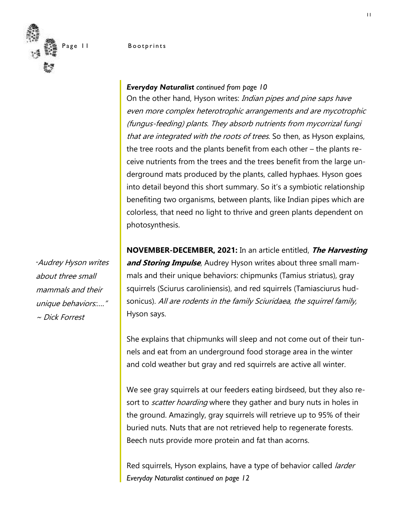Page 11 Bootprints



### *Everyday Naturalist continued from page 10*

On the other hand, Hyson writes: Indian pipes and pine saps have even more complex heterotrophic arrangements and are mycotrophic (fungus-feeding) plants. They absorb nutrients from mycorrizal fungi that are integrated with the roots of trees. So then, as Hyson explains, the tree roots and the plants benefit from each other – the plants receive nutrients from the trees and the trees benefit from the large underground mats produced by the plants, called hyphaes. Hyson goes into detail beyond this short summary. So it's a symbiotic relationship benefiting two organisms, between plants, like Indian pipes which are colorless, that need no light to thrive and green plants dependent on photosynthesis.

**NOVEMBER-DECEMBER, 2021:** In an article entitled, **The Harvesting and Storing Impulse**, Audrey Hyson writes about three small mammals and their unique behaviors: chipmunks (Tamius striatus), gray squirrels (Sciurus caroliniensis), and red squirrels (Tamiasciurus hudsonicus). All are rodents in the family Sciuridaea, the squirrel family, Hyson says.

She explains that chipmunks will sleep and not come out of their tunnels and eat from an underground food storage area in the winter and cold weather but gray and red squirrels are active all winter.

We see gray squirrels at our feeders eating birdseed, but they also resort to *scatter hoarding* where they gather and bury nuts in holes in the ground. Amazingly, gray squirrels will retrieve up to 95% of their buried nuts. Nuts that are not retrieved help to regenerate forests. Beech nuts provide more protein and fat than acorns.

Red squirrels, Hyson explains, have a type of behavior called *larder Everyday Naturalist continued on page 12*

*"*Audrey Hyson writes about three small mammals and their unique behaviors:…." ~ Dick Forrest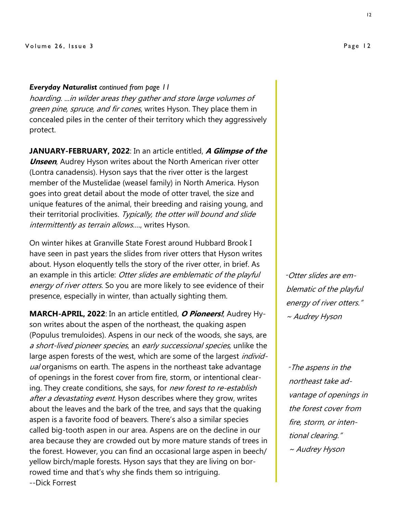### Volume 26, Issue 3

### *Everyday Naturalist continued from page 11*

hoarding. ...in wilder areas they gather and store large volumes of green pine, spruce, and fir cones, writes Hyson. They place them in concealed piles in the center of their territory which they aggressively protect.

**JANUARY-FEBRUARY, 2022**: In an article entitled, **A Glimpse of the Unseen**, Audrey Hyson writes about the North American river otter (Lontra canadensis). Hyson says that the river otter is the largest member of the Mustelidae (weasel family) in North America. Hyson goes into great detail about the mode of otter travel, the size and unique features of the animal, their breeding and raising young, and their territorial proclivities. Typically, the otter will bound and slide intermittently as terrain allows...., writes Hyson.

On winter hikes at Granville State Forest around Hubbard Brook I have seen in past years the slides from river otters that Hyson writes about. Hyson eloquently tells the story of the river otter, in brief. As an example in this article: Otter slides are emblematic of the playful energy of river otters. So you are more likely to see evidence of their presence, especially in winter, than actually sighting them.

**MARCH-APRIL, 2022**: In an article entitled, **O Pioneers!**, Audrey Hyson writes about the aspen of the northeast, the quaking aspen (Populus tremuloides). Aspens in our neck of the woods, she says, are a short-lived pioneer species, an early successional species, unlike the large aspen forests of the west, which are some of the largest *individ*ual organisms on earth. The aspens in the northeast take advantage of openings in the forest cover from fire, storm, or intentional clearing. They create conditions, she says, for *new forest to re-establish* after a devastating event. Hyson describes where they grow, writes about the leaves and the bark of the tree, and says that the quaking aspen is a favorite food of beavers. There's also a similar species called big-tooth aspen in our area. Aspens are on the decline in our area because they are crowded out by more mature stands of trees in the forest. However, you can find an occasional large aspen in beech/ yellow birch/maple forests. Hyson says that they are living on borrowed time and that's why she finds them so intriguing. --Dick Forrest

*"*Otter slides are emblematic of the playful energy of river otters." ~ Audrey Hyson

*"*The aspens in the northeast take advantage of openings in the forest cover from fire, storm, or intentional clearing." ~ Audrey Hyson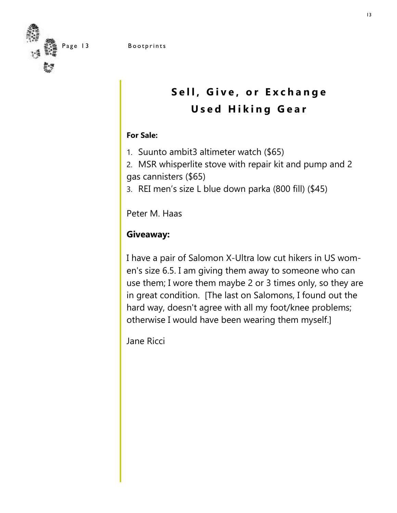

Page 13 Bootprints



# Sell, Give, or Exchange **Used Hiking Gear**

### **For Sale:**

- 1. Suunto ambit3 altimeter watch (\$65)
- 2. MSR whisperlite stove with repair kit and pump and 2 gas cannisters (\$65)
- 3. REI men's size L blue down parka (800 fill) (\$45)

Peter M. Haas

# **Giveaway:**

I have a pair of Salomon X-Ultra low cut hikers in US women's size 6.5. I am giving them away to someone who can use them; I wore them maybe 2 or 3 times only, so they are in great condition. [The last on Salomons, I found out the hard way, doesn't agree with all my foot/knee problems; otherwise I would have been wearing them myself.]

Jane Ricci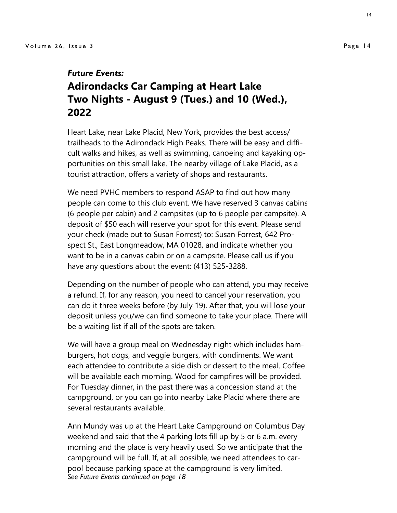### *Future Events:*

# **Adirondacks Car Camping at Heart Lake Two Nights - August 9 (Tues.) and 10 (Wed.), 2022**

Heart Lake, near Lake Placid, New York, provides the best access/ trailheads to the Adirondack High Peaks. There will be easy and difficult walks and hikes, as well as swimming, canoeing and kayaking opportunities on this small lake. The nearby village of Lake Placid, as a tourist attraction, offers a variety of shops and restaurants.

We need PVHC members to respond ASAP to find out how many people can come to this club event. We have reserved 3 canvas cabins (6 people per cabin) and 2 campsites (up to 6 people per campsite). A deposit of \$50 each will reserve your spot for this event. Please send your check (made out to Susan Forrest) to: Susan Forrest, 642 Prospect St., East Longmeadow, MA 01028, and indicate whether you want to be in a canvas cabin or on a campsite. Please call us if you have any questions about the event: (413) 525-3288.

Depending on the number of people who can attend, you may receive a refund. If, for any reason, you need to cancel your reservation, you can do it three weeks before (by July 19). After that, you will lose your deposit unless you/we can find someone to take your place. There will be a waiting list if all of the spots are taken.

We will have a group meal on Wednesday night which includes hamburgers, hot dogs, and veggie burgers, with condiments. We want each attendee to contribute a side dish or dessert to the meal. Coffee will be available each morning. Wood for campfires will be provided. For Tuesday dinner, in the past there was a concession stand at the campground, or you can go into nearby Lake Placid where there are several restaurants available.

Ann Mundy was up at the Heart Lake Campground on Columbus Day weekend and said that the 4 parking lots fill up by 5 or 6 a.m. every morning and the place is very heavily used. So we anticipate that the campground will be full. If, at all possible, we need attendees to carpool because parking space at the campground is very limited. *See Future Events continued on page 18*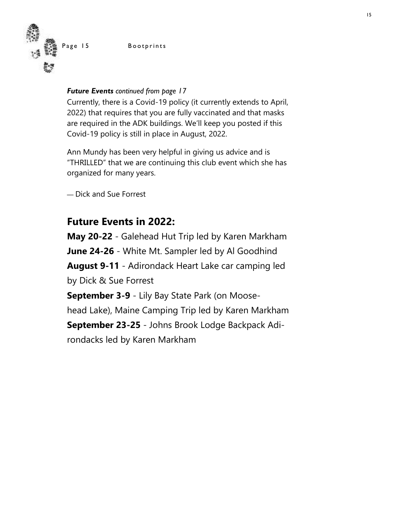Page 15 Bootprints



### *Future Events continued from page 17*

Currently, there is a Covid-19 policy (it currently extends to April, 2022) that requires that you are fully vaccinated and that masks are required in the ADK buildings. We'll keep you posted if this Covid-19 policy is still in place in August, 2022.

Ann Mundy has been very helpful in giving us advice and is "THRILLED" that we are continuing this club event which she has organized for many years.

— Dick and Sue Forrest

# **Future Events in 2022:**

**May 20-22** - Galehead Hut Trip led by Karen Markham **June 24-26** - White Mt. Sampler led by Al Goodhind **August 9-11** - Adirondack Heart Lake car camping led by Dick & Sue Forrest **September 3-9** - Lily Bay State Park (on Moose-

head Lake), Maine Camping Trip led by Karen Markham

**September 23-25** - Johns Brook Lodge Backpack Adirondacks led by Karen Markham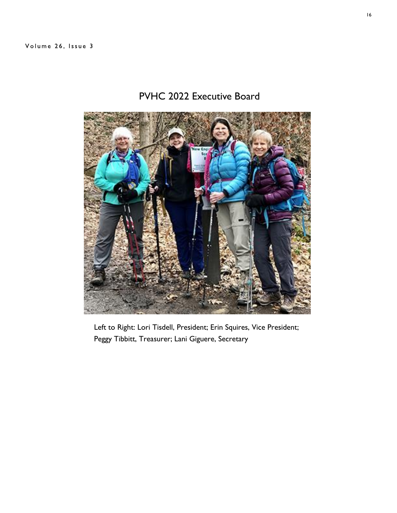# PVHC 2022 Executive Board



Left to Right: Lori Tisdell, President; Erin Squires, Vice President; Peggy Tibbitt, Treasurer; Lani Giguere, Secretary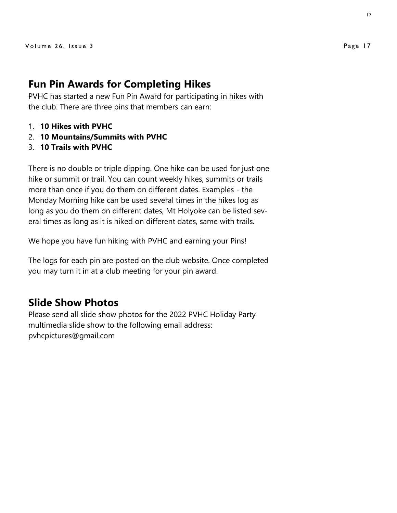### **Fun Pin Awards for Completing Hikes**

PVHC has started a new Fun Pin Award for participating in hikes with the club. There are three pins that members can earn:

- 1. **10 Hikes with PVHC**
- 2. **10 Mountains/Summits with PVHC**
- 3. **10 Trails with PVHC**

There is no double or triple dipping. One hike can be used for just one hike or summit or trail. You can count weekly hikes, summits or trails more than once if you do them on different dates. Examples - the Monday Morning hike can be used several times in the hikes log as long as you do them on different dates, Mt Holyoke can be listed several times as long as it is hiked on different dates, same with trails.

We hope you have fun hiking with PVHC and earning your Pins!

The logs for each pin are posted on the club website. Once completed you may turn it in at a club meeting for your pin award.

## **Slide Show Photos**

Please send all slide show photos for the 2022 PVHC Holiday Party multimedia slide show to the following email address: pvhcpictures@gmail.com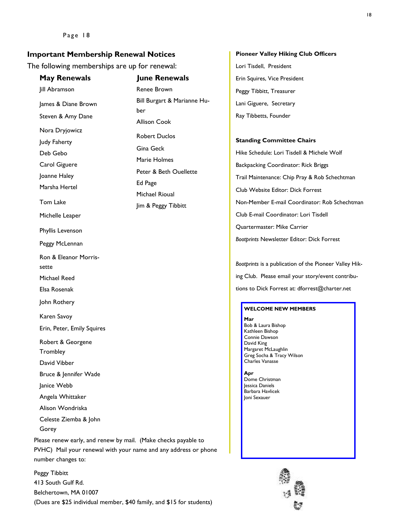### **Important Membership Renewal Notices**

The following memberships are up for renewal:

| <b>May Renewals</b>                                                                                                                                     | <b>June Renewals</b>                                                                           |
|---------------------------------------------------------------------------------------------------------------------------------------------------------|------------------------------------------------------------------------------------------------|
| Jill Abramson                                                                                                                                           | Renee Brown                                                                                    |
| James & Diane Brown                                                                                                                                     | Bill Burgart & Marianne Hu-<br>ber<br><b>Allison Cook</b><br><b>Robert Duclos</b><br>Gina Geck |
| Steven & Amy Dane                                                                                                                                       |                                                                                                |
| Nora Dryjowicz                                                                                                                                          |                                                                                                |
| Judy Faherty                                                                                                                                            |                                                                                                |
| Deb Gebo                                                                                                                                                | Marie Holmes                                                                                   |
| Carol Giguere                                                                                                                                           | Peter & Beth Ouellette<br>Ed Page                                                              |
| Joanne Haley                                                                                                                                            |                                                                                                |
| Marsha Hertel                                                                                                                                           | Michael Rioual                                                                                 |
| Tom Lake                                                                                                                                                | Jim & Peggy Tibbitt                                                                            |
| Michelle Leaper                                                                                                                                         |                                                                                                |
| Phyllis Levenson                                                                                                                                        |                                                                                                |
| Peggy McLennan                                                                                                                                          |                                                                                                |
| Ron & Eleanor Morris-                                                                                                                                   |                                                                                                |
| sette                                                                                                                                                   |                                                                                                |
| Michael Reed                                                                                                                                            |                                                                                                |
| Elsa Rosenak                                                                                                                                            |                                                                                                |
| John Rothery                                                                                                                                            |                                                                                                |
| Karen Savoy                                                                                                                                             |                                                                                                |
| Erin, Peter, Emily Squires                                                                                                                              |                                                                                                |
| Robert & Georgene                                                                                                                                       |                                                                                                |
| Trombley<br>David Vibber                                                                                                                                |                                                                                                |
| Bruce & Jennifer Wade                                                                                                                                   |                                                                                                |
| Janice Webb                                                                                                                                             |                                                                                                |
| Angela Whittaker                                                                                                                                        |                                                                                                |
| Alison Wondriska                                                                                                                                        |                                                                                                |
| Celeste Ziemba & John                                                                                                                                   |                                                                                                |
| Gorey                                                                                                                                                   |                                                                                                |
| Please renew early, and renew by mail. (Make checks payable to<br>PVHC) Mail your renewal with your name and any address or phone<br>number changes to: |                                                                                                |

Peggy Tibbitt 413 South Gulf Rd. Belchertown, MA 01007 (Dues are \$25 individual member, \$40 family, and \$15 for students)

#### **Pioneer Valley Hiking Club Officers**

Lori Tisdell, President Erin Squires, Vice President Peggy Tibbitt, Treasurer Lani Giguere, Secretary Ray Tibbetts, Founder

#### **Standing Committee Chairs**

Hike Schedule: Lori Tisdell & Michele Wolf Backpacking Coordinator: Rick Briggs Trail Maintenance: Chip Pray & Rob Schechtman Club Website Editor: Dick Forrest Non-Member E-mail Coordinator: Rob Schechtman Club E-mail Coordinator: Lori Tisdell Quartermaster: Mike Carrier *Bootprints* Newsletter Editor: Dick Forrest

*Bootprints* is a publication of the Pioneer Valley Hiking Club. Please email your story/event contributions to Dick Forrest at: dforrest@charter.net

#### **WELCOME NEW MEMBERS**

**Mar** Bob & Laura Bishop Kathleen Bishop Connie Dawson David King Margaret McLaughlin Greg Socha & Tracy Wilson Charles Vanasse

**Apr** Dome Christman Jessica Daniels Barbara Havlicek Joni Sexauer